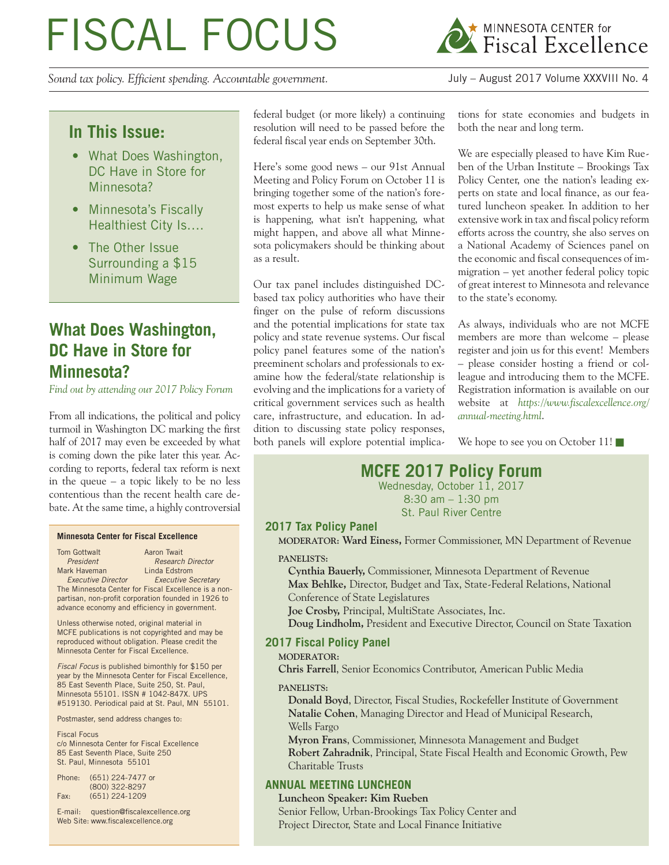# FISCAL FOCUS

*Sound tax policy. Efficient spending. Accountable government.* July – August 2017 Volume XXXVIII No. 4

federal budget (or more likely) a continuing resolution will need to be passed before the federal fiscal year ends on September 30th.

Here's some good news – our 91st Annual Meeting and Policy Forum on October 11 is bringing together some of the nation's foremost experts to help us make sense of what is happening, what isn't happening, what might happen, and above all what Minnesota policymakers should be thinking about as a result.

Our tax panel includes distinguished DCbased tax policy authorities who have their finger on the pulse of reform discussions and the potential implications for state tax policy and state revenue systems. Our fiscal policy panel features some of the nation's preeminent scholars and professionals to examine how the federal/state relationship is evolving and the implications for a variety of critical government services such as health care, infrastructure, and education. In addition to discussing state policy responses, both panels will explore potential implications for state economies and budgets in both the near and long term.

We are especially pleased to have Kim Rueben of the Urban Institute – Brookings Tax Policy Center, one the nation's leading experts on state and local finance, as our featured luncheon speaker. In addition to her extensive work in tax and fiscal policy reform efforts across the country, she also serves on a National Academy of Sciences panel on the economic and fiscal consequences of immigration – yet another federal policy topic of great interest to Minnesota and relevance to the state's economy.

As always, individuals who are not MCFE members are more than welcome – please register and join us for this event! Members – please consider hosting a friend or colleague and introducing them to the MCFE. Registration information is available on our website at *https://www.fiscalexcellence.org/ annual-meeting.html*.

We hope to see you on October 11!

# **MCFE 2017 Policy Forum**

Wednesday, October 11, 2017 8:30 am – 1:30 pm St. Paul River Centre

## **2017 Tax Policy Panel**

**MODERATOR: Ward Einess,** Former Commissioner, MN Department of Revenue

#### **PANELISTS:**

**Cynthia Bauerly,** Commissioner, Minnesota Department of Revenue **Max Behlke,** Director, Budget and Tax, State-Federal Relations, National Conference of State Legislatures

**Joe Crosby,** Principal, MultiState Associates, Inc.

**Doug Lindholm,** President and Executive Director, Council on State Taxation

## **2017 Fiscal Policy Panel**

## **MODERATOR:**

**Chris Farrell**, Senior Economics Contributor, American Public Media

**PANELISTS:**

**Donald Boyd**, Director, Fiscal Studies, Rockefeller Institute of Government **Natalie Cohen**, Managing Director and Head of Municipal Research, Wells Fargo

**Myron Frans**, Commissioner, Minnesota Management and Budget **Robert Zahradnik**, Principal, State Fiscal Health and Economic Growth, Pew Charitable Trusts

## **ANNUAL MEETING LUNCHEON**

**Luncheon Speaker: Kim Rueben** Senior Fellow, Urban-Brookings Tax Policy Center and Project Director, State and Local Finance Initiative

**In This Issue:**

- What Does Washington, DC Have in Store for Minnesota?
- Minnesota's Fiscally Healthiest City Is….
- The Other Issue Surrounding a \$15 Minimum Wage

# **What Does Washington, DC Have in Store for Minnesota?**

*Find out by attending our 2017 Policy Forum*

From all indications, the political and policy turmoil in Washington DC marking the first half of 2017 may even be exceeded by what is coming down the pike later this year. According to reports, federal tax reform is next in the queue – a topic likely to be no less contentious than the recent health care debate. At the same time, a highly controversial

#### **Minnesota Center for Fiscal Excellence**

Tom Gottwalt **Aaron Twait President** Research Director<br> **Mark Haveman** Linda Edstrom Linda Edstrom  *Executive Director Executive Secretary*

The Minnesota Center for Fiscal Excellence is a nonpartisan, non-profit corporation founded in 1926 to advance economy and efficiency in government.

Unless otherwise noted, original material in MCFE publications is not copyrighted and may be reproduced without obligation. Please credit the Minnesota Center for Fiscal Excellence.

*Fiscal Focus* is published bimonthly for \$150 per year by the Minnesota Center for Fiscal Excellence, 85 East Seventh Place, Suite 250, St. Paul, Minnesota 55101. ISSN # 1042-847X. UPS #519130. Periodical paid at St. Paul, MN 55101.

Postmaster, send address changes to:

Fiscal Focus c/o Minnesota Center for Fiscal Excellence 85 East Seventh Place, Suite 250 St. Paul, Minnesota 55101

| Phone: | (651) 224-7477 or |
|--------|-------------------|
|        | (800) 322-8297    |
| Fax:   | $(651)$ 224-1209  |

E-mail: question@fiscalexcellence.org Web Site: www.fiscalexcellence.org

MINNESOTA CENTER for<br>A Fiscal Excellence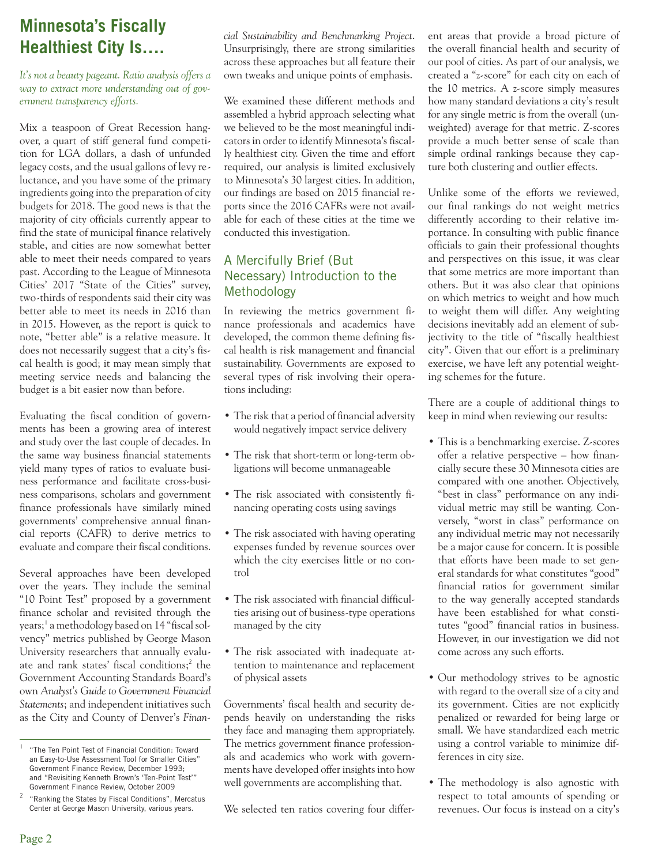# **Minnesota's Fiscally Healthiest City Is….**

*It's not a beauty pageant. Ratio analysis offers a way to extract more understanding out of government transparency efforts.*

Mix a teaspoon of Great Recession hangover, a quart of stiff general fund competition for LGA dollars, a dash of unfunded legacy costs, and the usual gallons of levy reluctance, and you have some of the primary ingredients going into the preparation of city budgets for 2018. The good news is that the majority of city officials currently appear to find the state of municipal finance relatively stable, and cities are now somewhat better able to meet their needs compared to years past. According to the League of Minnesota Cities' 2017 "State of the Cities" survey, two-thirds of respondents said their city was better able to meet its needs in 2016 than in 2015. However, as the report is quick to note, "better able" is a relative measure. It does not necessarily suggest that a city's fiscal health is good; it may mean simply that meeting service needs and balancing the budget is a bit easier now than before.

Evaluating the fiscal condition of governments has been a growing area of interest and study over the last couple of decades. In the same way business financial statements yield many types of ratios to evaluate business performance and facilitate cross-business comparisons, scholars and government finance professionals have similarly mined governments' comprehensive annual financial reports (CAFR) to derive metrics to evaluate and compare their fiscal conditions.

Several approaches have been developed over the years. They include the seminal "10 Point Test" proposed by a government finance scholar and revisited through the years;<sup>1</sup> a methodology based on 14 "fiscal solvency" metrics published by George Mason University researchers that annually evaluate and rank states' fiscal conditions;<sup>2</sup> the Government Accounting Standards Board's own *Analyst's Guide to Government Financial Statements*; and independent initiatives such as the City and County of Denver's *Finan-* *cial Sustainability and Benchmarking Project*. Unsurprisingly, there are strong similarities across these approaches but all feature their own tweaks and unique points of emphasis.

We examined these different methods and assembled a hybrid approach selecting what we believed to be the most meaningful indicators in order to identify Minnesota's fiscally healthiest city. Given the time and effort required, our analysis is limited exclusively to Minnesota's 30 largest cities. In addition, our findings are based on 2015 financial reports since the 2016 CAFRs were not available for each of these cities at the time we conducted this investigation.

## A Mercifully Brief (But Necessary) Introduction to the Methodology

In reviewing the metrics government finance professionals and academics have developed, the common theme defining fiscal health is risk management and financial sustainability. Governments are exposed to several types of risk involving their operations including:

- The risk that a period of financial adversity would negatively impact service delivery
- The risk that short-term or long-term obligations will become unmanageable
- The risk associated with consistently financing operating costs using savings
- The risk associated with having operating expenses funded by revenue sources over which the city exercises little or no control
- The risk associated with financial difficulties arising out of business-type operations managed by the city
- The risk associated with inadequate attention to maintenance and replacement of physical assets

Governments' fiscal health and security depends heavily on understanding the risks they face and managing them appropriately. The metrics government finance professionals and academics who work with governments have developed offer insights into how well governments are accomplishing that.

We selected ten ratios covering four differ-

ent areas that provide a broad picture of the overall financial health and security of our pool of cities. As part of our analysis, we created a "z-score" for each city on each of the 10 metrics. A z-score simply measures how many standard deviations a city's result for any single metric is from the overall (unweighted) average for that metric. Z-scores provide a much better sense of scale than simple ordinal rankings because they capture both clustering and outlier effects.

Unlike some of the efforts we reviewed, our final rankings do not weight metrics differently according to their relative importance. In consulting with public finance officials to gain their professional thoughts and perspectives on this issue, it was clear that some metrics are more important than others. But it was also clear that opinions on which metrics to weight and how much to weight them will differ. Any weighting decisions inevitably add an element of subjectivity to the title of "fiscally healthiest city". Given that our effort is a preliminary exercise, we have left any potential weighting schemes for the future.

There are a couple of additional things to keep in mind when reviewing our results:

- This is a benchmarking exercise. Z-scores offer a relative perspective – how financially secure these 30 Minnesota cities are compared with one another. Objectively, "best in class" performance on any individual metric may still be wanting. Conversely, "worst in class" performance on any individual metric may not necessarily be a major cause for concern. It is possible that efforts have been made to set general standards for what constitutes "good" financial ratios for government similar to the way generally accepted standards have been established for what constitutes "good" financial ratios in business. However, in our investigation we did not come across any such efforts.
- Our methodology strives to be agnostic with regard to the overall size of a city and its government. Cities are not explicitly penalized or rewarded for being large or small. We have standardized each metric using a control variable to minimize differences in city size.
- The methodology is also agnostic with respect to total amounts of spending or revenues. Our focus is instead on a city's

<sup>1</sup> "The Ten Point Test of Financial Condition: Toward an Easy-to-Use Assessment Tool for Smaller Cities" Government Finance Review, December 1993; and "Revisiting Kenneth Brown's 'Ten-Point Test'" Government Finance Review, October 2009

<sup>2</sup> "Ranking the States by Fiscal Conditions", Mercatus Center at George Mason University, various years.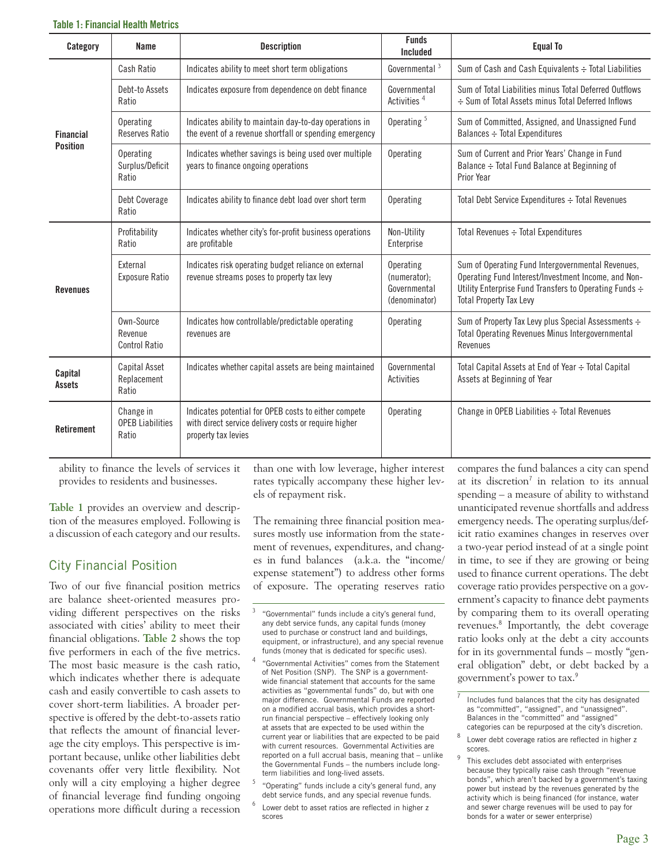| Category          | Name                                          | <b>Description</b>                                                                                                                  | <b>Funds</b><br>Included                                          | <b>Equal To</b>                                                                                                                                                                                      |
|-------------------|-----------------------------------------------|-------------------------------------------------------------------------------------------------------------------------------------|-------------------------------------------------------------------|------------------------------------------------------------------------------------------------------------------------------------------------------------------------------------------------------|
|                   | Cash Ratio                                    | Indicates ability to meet short term obligations                                                                                    | Governmental <sup>3</sup>                                         | Sum of Cash and Cash Equivalents : Total Liabilities                                                                                                                                                 |
|                   | Debt-to Assets<br>Ratio                       | Indicates exposure from dependence on debt finance                                                                                  | Governmental<br>Activities <sup>4</sup>                           | Sum of Total Liabilities minus Total Deferred Outflows<br>÷ Sum of Total Assets minus Total Deferred Inflows                                                                                         |
| <b>Financial</b>  | Operating<br>Reserves Ratio                   | Indicates ability to maintain day-to-day operations in<br>the event of a revenue shortfall or spending emergency                    | Operating <sup>5</sup>                                            | Sum of Committed, Assigned, and Unassigned Fund<br>Balances $\div$ Total Expenditures                                                                                                                |
| <b>Position</b>   | Operating<br>Surplus/Deficit<br>Ratio         | Indicates whether savings is being used over multiple<br>years to finance ongoing operations                                        | <b>Operating</b>                                                  | Sum of Current and Prior Years' Change in Fund<br>Balance :- Total Fund Balance at Beginning of<br>Prior Year                                                                                        |
|                   | Debt Coverage<br>Ratio                        | Indicates ability to finance debt load over short term                                                                              | Operating                                                         | Total Debt Service Expenditures : Total Revenues                                                                                                                                                     |
|                   | Profitability<br>Ratio                        | Indicates whether city's for-profit business operations<br>are profitable                                                           | Non-Utility<br>Enterprise                                         | Total Revenues $\div$ Total Expenditures                                                                                                                                                             |
| <b>Revenues</b>   | External<br><b>Exposure Ratio</b>             | Indicates risk operating budget reliance on external<br>revenue streams poses to property tax levy                                  | <b>Operating</b><br>(numerator);<br>Governmental<br>(denominator) | Sum of Operating Fund Intergovernmental Revenues,<br>Operating Fund Interest/Investment Income, and Non-<br>Utility Enterprise Fund Transfers to Operating Funds ÷<br><b>Total Property Tax Levy</b> |
|                   | Own-Source<br>Revenue<br>Control Ratio        | Indicates how controllable/predictable operating<br>revenues are                                                                    | Operating                                                         | Sum of Property Tax Levy plus Special Assessments ÷<br><b>Total Operating Revenues Minus Intergovernmental</b><br>Revenues                                                                           |
| Capital<br>Assets | Capital Asset<br>Replacement<br>Ratio         | Indicates whether capital assets are being maintained                                                                               | Governmental<br>Activities                                        | Total Capital Assets at End of Year ÷ Total Capital<br>Assets at Beginning of Year                                                                                                                   |
| <b>Retirement</b> | Change in<br><b>OPEB Liabilities</b><br>Ratio | Indicates potential for OPEB costs to either compete<br>with direct service delivery costs or require higher<br>property tax levies | Operating                                                         | Change in OPEB Liabilities $\div$ Total Revenues                                                                                                                                                     |

ability to finance the levels of services it provides to residents and businesses.

**Table 1** provides an overview and description of the measures employed. Following is a discussion of each category and our results.

## City Financial Position

Two of our five financial position metrics are balance sheet-oriented measures providing different perspectives on the risks associated with cities' ability to meet their financial obligations. **Table 2** shows the top five performers in each of the five metrics. The most basic measure is the cash ratio, which indicates whether there is adequate cash and easily convertible to cash assets to cover short-term liabilities. A broader perspective is offered by the debt-to-assets ratio that reflects the amount of financial leverage the city employs. This perspective is important because, unlike other liabilities debt covenants offer very little flexibility. Not only will a city employing a higher degree of financial leverage find funding ongoing operations more difficult during a recession

than one with low leverage, higher interest rates typically accompany these higher levels of repayment risk.

The remaining three financial position measures mostly use information from the statement of revenues, expenditures, and changes in fund balances (a.k.a. the "income/ expense statement") to address other forms of exposure. The operating reserves ratio

- <sup>4</sup> "Governmental Activities" comes from the Statement of Net Position (SNP). The SNP is a governmentwide financial statement that accounts for the same activities as "governmental funds" do, but with one major difference. Governmental Funds are reported on a modified accrual basis, which provides a shortrun financial perspective – effectively looking only at assets that are expected to be used within the current year or liabilities that are expected to be paid with current resources. Governmental Activities are reported on a full accrual basis, meaning that – unlike the Governmental Funds – the numbers include longterm liabilities and long-lived assets.
- 5 "Operating" funds include a city's general fund, any debt service funds, and any special revenue funds.
- Lower debt to asset ratios are reflected in higher z scores

compares the fund balances a city can spend at its discretion<sup>7</sup> in relation to its annual spending – a measure of ability to withstand unanticipated revenue shortfalls and address emergency needs. The operating surplus/deficit ratio examines changes in reserves over a two-year period instead of at a single point in time, to see if they are growing or being used to finance current operations. The debt coverage ratio provides perspective on a government's capacity to finance debt payments by comparing them to its overall operating revenues.<sup>8</sup> Importantly, the debt coverage ratio looks only at the debt a city accounts for in its governmental funds – mostly "general obligation" debt, or debt backed by a government's power to tax.<sup>9</sup>

<sup>&</sup>quot;Governmental" funds include a city's general fund, any debt service funds, any capital funds (money used to purchase or construct land and buildings, equipment, or infrastructure), and any special revenue funds (money that is dedicated for specific uses).

Includes fund balances that the city has designated as "committed", "assigned", and "unassigned". Balances in the "committed" and "assigned" categories can be repurposed at the city's discretion.

 $8$  Lower debt coverage ratios are reflected in higher z scores.

<sup>&</sup>lt;sup>9</sup> This excludes debt associated with enterprises because they typically raise cash through "revenue bonds", which aren't backed by a government's taxing power but instead by the revenues generated by the activity which is being financed (for instance, water and sewer charge revenues will be used to pay for bonds for a water or sewer enterprise)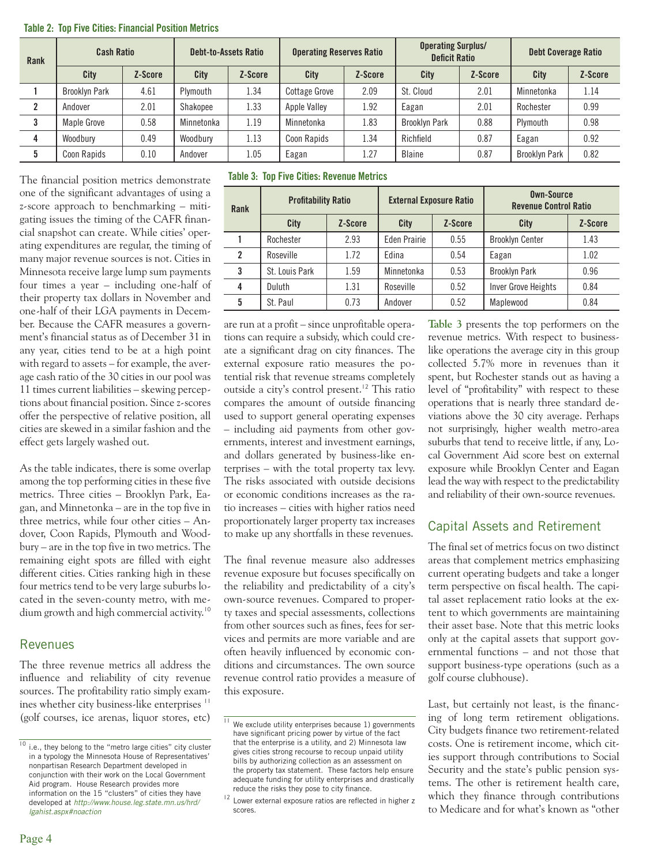| Rank | <b>Cash Ratio</b>    |         | <b>Debt-to-Assets Ratio</b> |         | <b>Operating Reserves Ratio</b> |         | <b>Operating Surplus/</b><br><b>Deficit Ratio</b> |         | <b>Debt Coverage Ratio</b> |         |
|------|----------------------|---------|-----------------------------|---------|---------------------------------|---------|---------------------------------------------------|---------|----------------------------|---------|
|      | <b>City</b>          | Z-Score | City                        | Z-Score | City                            | Z-Score | City                                              | Z-Score | City                       | Z-Score |
|      | <b>Brooklyn Park</b> | 4.61    | Plymouth                    | 1.34    | <b>Cottage Grove</b>            | 2.09    | St. Cloud                                         | 2.01    | Minnetonka                 | 1.14    |
|      | Andover              | 2.01    | Shakopee                    | 1.33    | Apple Valley                    | 1.92    | Eagan                                             | 2.01    | Rochester                  | 0.99    |
|      | <b>Maple Grove</b>   | 0.58    | Minnetonka                  | 1.19    | Minnetonka                      | 1.83    | <b>Brooklyn Park</b>                              | 0.88    | Plymouth                   | 0.98    |
|      | Woodbury             | 0.49    | Woodbury                    | 1.13    | Coon Rapids                     | 1.34    | Richfield                                         | 0.87    | Eagan                      | 0.92    |
|      | Coon Rapids          | 0.10    | Andover                     | 1.05    | Eagan                           | 1.27    | Blaine                                            | 0.87    | <b>Brooklyn Park</b>       | 0.82    |

#### **Table 2: Top Five Cities: Financial Position Metrics**

The financial position metrics demonstrate one of the significant advantages of using a z-score approach to benchmarking – mitigating issues the timing of the CAFR financial snapshot can create. While cities' operating expenditures are regular, the timing of many major revenue sources is not. Cities in Minnesota receive large lump sum payments four times a year – including one-half of their property tax dollars in November and one-half of their LGA payments in December. Because the CAFR measures a government's financial status as of December 31 in any year, cities tend to be at a high point with regard to assets – for example, the average cash ratio of the 30 cities in our pool was 11 times current liabilities – skewing perceptions about financial position. Since z-scores offer the perspective of relative position, all cities are skewed in a similar fashion and the effect gets largely washed out.

As the table indicates, there is some overlap among the top performing cities in these five metrics. Three cities – Brooklyn Park, Eagan, and Minnetonka – are in the top five in three metrics, while four other cities – Andover, Coon Rapids, Plymouth and Woodbury – are in the top five in two metrics. The remaining eight spots are filled with eight different cities. Cities ranking high in these four metrics tend to be very large suburbs located in the seven-county metro, with medium growth and high commercial activity.<sup>10</sup>

## **Revenues**

The three revenue metrics all address the influence and reliability of city revenue sources. The profitability ratio simply examines whether city business-like enterprises<sup>11</sup> (golf courses, ice arenas, liquor stores, etc)

**Table 3: Top Five Cities: Revenue Metrics**

| Rank | <b>Profitability Ratio</b> |         | <b>External Exposure Ratio</b> |         | Own-Source<br><b>Revenue Control Ratio</b> |         |  |
|------|----------------------------|---------|--------------------------------|---------|--------------------------------------------|---------|--|
|      | City                       | Z-Score | City                           | Z-Score | City                                       | Z-Score |  |
|      | Rochester                  | 2.93    | Eden Prairie                   | 0.55    | <b>Brooklyn Center</b>                     | 1.43    |  |
| 2    | Roseville                  | 1.72    | Edina                          | 0.54    | Eagan                                      | 1.02    |  |
| 3    | St. Louis Park             | 1.59    | Minnetonka                     | 0.53    | <b>Brooklyn Park</b>                       | 0.96    |  |
| 4    | Duluth                     | 1.31    | Roseville                      | 0.52    | Inver Grove Heights                        | 0.84    |  |
| 5    | St. Paul                   | 0.73    | Andover                        | 0.52    | Maplewood                                  | 0.84    |  |

are run at a profit – since unprofitable operations can require a subsidy, which could create a significant drag on city finances. The external exposure ratio measures the potential risk that revenue streams completely outside a city's control present.<sup>12</sup> This ratio compares the amount of outside financing used to support general operating expenses – including aid payments from other governments, interest and investment earnings, and dollars generated by business-like enterprises – with the total property tax levy. The risks associated with outside decisions or economic conditions increases as the ratio increases – cities with higher ratios need proportionately larger property tax increases to make up any shortfalls in these revenues.

The final revenue measure also addresses revenue exposure but focuses specifically on the reliability and predictability of a city's own-source revenues. Compared to property taxes and special assessments, collections from other sources such as fines, fees for services and permits are more variable and are often heavily influenced by economic conditions and circumstances. The own source revenue control ratio provides a measure of this exposure.

**Table 3** presents the top performers on the revenue metrics. With respect to businesslike operations the average city in this group collected 5.7% more in revenues than it spent, but Rochester stands out as having a level of "profitability" with respect to these operations that is nearly three standard deviations above the 30 city average. Perhaps not surprisingly, higher wealth metro-area suburbs that tend to receive little, if any, Local Government Aid score best on external exposure while Brooklyn Center and Eagan lead the way with respect to the predictability and reliability of their own-source revenues.

## Capital Assets and Retirement

The final set of metrics focus on two distinct areas that complement metrics emphasizing current operating budgets and take a longer term perspective on fiscal health. The capital asset replacement ratio looks at the extent to which governments are maintaining their asset base. Note that this metric looks only at the capital assets that support governmental functions – and not those that support business-type operations (such as a golf course clubhouse).

Last, but certainly not least, is the financing of long term retirement obligations. City budgets finance two retirement-related costs. One is retirement income, which cities support through contributions to Social Security and the state's public pension systems. The other is retirement health care, which they finance through contributions to Medicare and for what's known as "other

 $\frac{10}{10}$  i.e., they belong to the "metro large cities" city cluster in a typology the Minnesota House of Representatives' nonpartisan Research Department developed in conjunction with their work on the Local Government Aid program. House Research provides more information on the 15 "clusters" of cities they have developed at *http://www.house.leg.state.mn.us/hrd/ lgahist.aspx#noaction*

We exclude utility enterprises because 1) governments have significant pricing power by virtue of the fact that the enterprise is a utility, and 2) Minnesota law gives cities strong recourse to recoup unpaid utility bills by authorizing collection as an assessment on the property tax statement. These factors help ensure adequate funding for utility enterprises and drastically reduce the risks they pose to city finance.

 $12$  Lower external exposure ratios are reflected in higher z scores.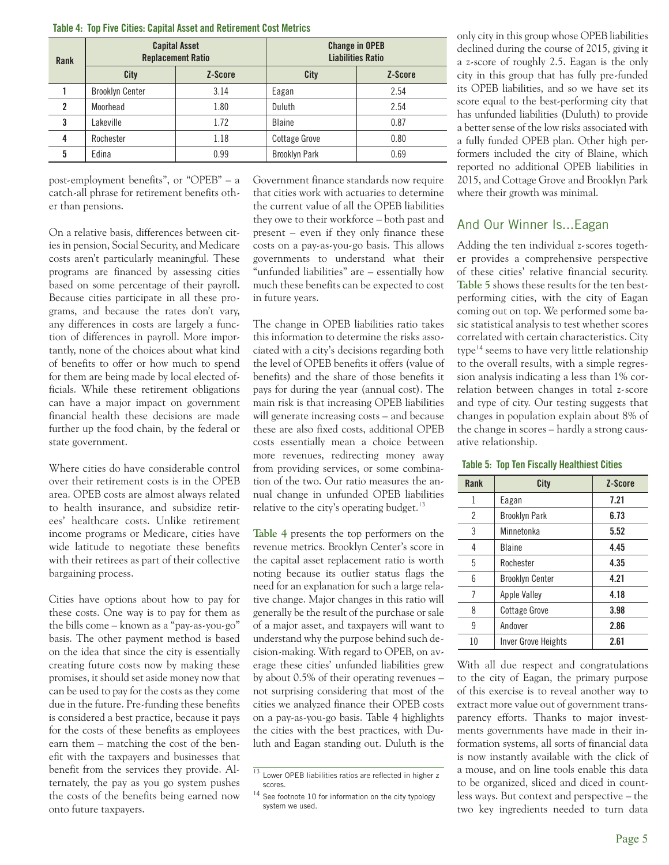#### **Table 4: Top Five Cities: Capital Asset and Retirement Cost Metrics**

| Rank           | <b>Capital Asset</b><br><b>Replacement Ratio</b> |         | <b>Change in OPEB</b><br><b>Liabilities Ratio</b> |         |  |
|----------------|--------------------------------------------------|---------|---------------------------------------------------|---------|--|
|                | City                                             | Z-Score | City                                              | Z-Score |  |
|                | 3.14<br><b>Brooklyn Center</b>                   |         | Eagan                                             | 2.54    |  |
| $\overline{2}$ | 1.80<br>Moorhead                                 |         | Duluth                                            | 2.54    |  |
| 3              | Lakeville                                        | 1.72    | Blaine                                            | 0.87    |  |
| 4              | Rochester                                        | 1.18    | <b>Cottage Grove</b>                              | 0.80    |  |
| 5              | Edina                                            | 0.99    | <b>Brooklyn Park</b>                              | 0.69    |  |

post-employment benefits", or "OPEB" – a catch-all phrase for retirement benefits other than pensions.

On a relative basis, differences between cities in pension, Social Security, and Medicare costs aren't particularly meaningful. These programs are financed by assessing cities based on some percentage of their payroll. Because cities participate in all these programs, and because the rates don't vary, any differences in costs are largely a function of differences in payroll. More importantly, none of the choices about what kind of benefits to offer or how much to spend for them are being made by local elected officials. While these retirement obligations can have a major impact on government financial health these decisions are made further up the food chain, by the federal or state government.

Where cities do have considerable control over their retirement costs is in the OPEB area. OPEB costs are almost always related to health insurance, and subsidize retirees' healthcare costs. Unlike retirement income programs or Medicare, cities have wide latitude to negotiate these benefits with their retirees as part of their collective bargaining process.

Cities have options about how to pay for these costs. One way is to pay for them as the bills come – known as a "pay-as-you-go" basis. The other payment method is based on the idea that since the city is essentially creating future costs now by making these promises, it should set aside money now that can be used to pay for the costs as they come due in the future. Pre-funding these benefits is considered a best practice, because it pays for the costs of these benefits as employees earn them – matching the cost of the benefit with the taxpayers and businesses that benefit from the services they provide. Alternately, the pay as you go system pushes the costs of the benefits being earned now onto future taxpayers.

Government finance standards now require that cities work with actuaries to determine the current value of all the OPEB liabilities they owe to their workforce – both past and present – even if they only finance these costs on a pay-as-you-go basis. This allows governments to understand what their "unfunded liabilities" are – essentially how much these benefits can be expected to cost in future years.

The change in OPEB liabilities ratio takes this information to determine the risks associated with a city's decisions regarding both the level of OPEB benefits it offers (value of benefits) and the share of those benefits it pays for during the year (annual cost). The main risk is that increasing OPEB liabilities will generate increasing costs – and because these are also fixed costs, additional OPEB costs essentially mean a choice between more revenues, redirecting money away from providing services, or some combination of the two. Our ratio measures the annual change in unfunded OPEB liabilities relative to the city's operating budget. $13$ 

**Table 4** presents the top performers on the revenue metrics. Brooklyn Center's score in the capital asset replacement ratio is worth noting because its outlier status flags the need for an explanation for such a large relative change. Major changes in this ratio will generally be the result of the purchase or sale of a major asset, and taxpayers will want to understand why the purpose behind such decision-making. With regard to OPEB, on average these cities' unfunded liabilities grew by about 0.5% of their operating revenues – not surprising considering that most of the cities we analyzed finance their OPEB costs on a pay-as-you-go basis. Table 4 highlights the cities with the best practices, with Duluth and Eagan standing out. Duluth is the only city in this group whose OPEB liabilities declined during the course of 2015, giving it a z-score of roughly 2.5. Eagan is the only city in this group that has fully pre-funded its OPEB liabilities, and so we have set its score equal to the best-performing city that has unfunded liabilities (Duluth) to provide a better sense of the low risks associated with a fully funded OPEB plan. Other high performers included the city of Blaine, which reported no additional OPEB liabilities in 2015, and Cottage Grove and Brooklyn Park where their growth was minimal.

## And Our Winner Is...Eagan

Adding the ten individual z-scores together provides a comprehensive perspective of these cities' relative financial security. **Table 5** shows these results for the ten bestperforming cities, with the city of Eagan coming out on top. We performed some basic statistical analysis to test whether scores correlated with certain characteristics. City type<sup> $14$ </sup> seems to have very little relationship to the overall results, with a simple regression analysis indicating a less than 1% correlation between changes in total z-score and type of city. Our testing suggests that changes in population explain about 8% of the change in scores – hardly a strong causative relationship.

#### **Table 5: Top Ten Fiscally Healthiest Cities**

| Rank | City                   | Z-Score |
|------|------------------------|---------|
| 1    | Eagan                  | 7.21    |
| 2    | <b>Brooklyn Park</b>   | 6.73    |
| 3    | Minnetonka             | 5.52    |
| 4    | <b>Blaine</b>          | 4.45    |
| 5    | Rochester              | 4.35    |
| 6    | <b>Brooklyn Center</b> | 4.21    |
| 7    | Apple Valley           | 4.18    |
| 8    | <b>Cottage Grove</b>   | 3.98    |
| 9    | Andover                | 2.86    |
| 10   | Inver Grove Heights    | 2.61    |

With all due respect and congratulations to the city of Eagan, the primary purpose of this exercise is to reveal another way to extract more value out of government transparency efforts. Thanks to major investments governments have made in their information systems, all sorts of financial data is now instantly available with the click of a mouse, and on line tools enable this data to be organized, sliced and diced in countless ways. But context and perspective – the two key ingredients needed to turn data

 $\frac{13}{13}$  Lower OPEB liabilities ratios are reflected in higher z scores.

 $14$  See footnote 10 for information on the city typology system we used.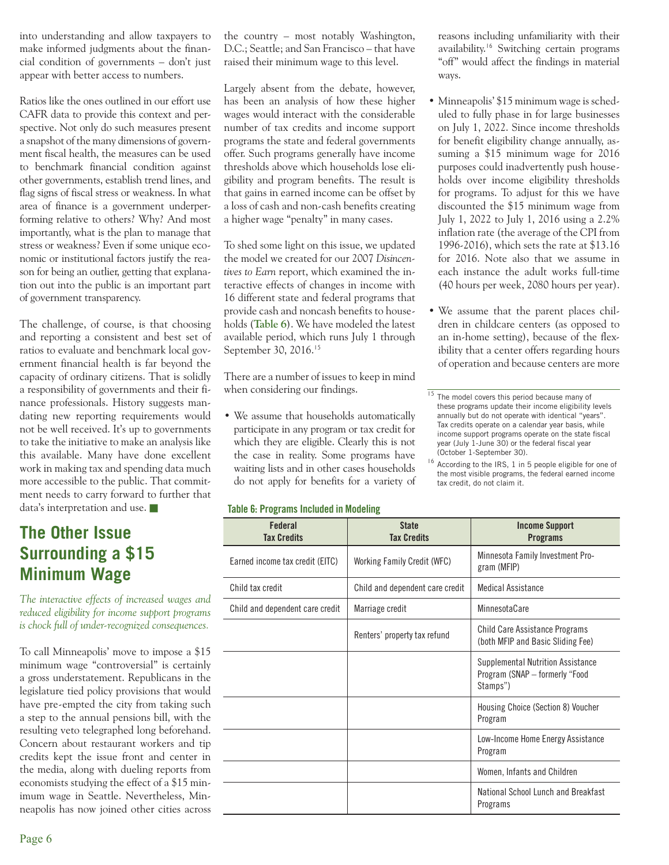into understanding and allow taxpayers to make informed judgments about the financial condition of governments – don't just appear with better access to numbers.

Ratios like the ones outlined in our effort use CAFR data to provide this context and perspective. Not only do such measures present a snapshot of the many dimensions of government fiscal health, the measures can be used to benchmark financial condition against other governments, establish trend lines, and flag signs of fiscal stress or weakness. In what area of finance is a government underperforming relative to others? Why? And most importantly, what is the plan to manage that stress or weakness? Even if some unique economic or institutional factors justify the reason for being an outlier, getting that explanation out into the public is an important part of government transparency.

The challenge, of course, is that choosing and reporting a consistent and best set of ratios to evaluate and benchmark local government financial health is far beyond the capacity of ordinary citizens. That is solidly a responsibility of governments and their finance professionals. History suggests mandating new reporting requirements would not be well received. It's up to governments to take the initiative to make an analysis like this available. Many have done excellent work in making tax and spending data much more accessible to the public. That commitment needs to carry forward to further that data's interpretation and use.

# **The Other Issue Surrounding a \$15 Minimum Wage**

*The interactive effects of increased wages and reduced eligibility for income support programs is chock full of under-recognized consequences.* 

To call Minneapolis' move to impose a \$15 minimum wage "controversial" is certainly a gross understatement. Republicans in the legislature tied policy provisions that would have pre-empted the city from taking such a step to the annual pensions bill, with the resulting veto telegraphed long beforehand. Concern about restaurant workers and tip credits kept the issue front and center in the media, along with dueling reports from economists studying the effect of a \$15 minimum wage in Seattle. Nevertheless, Minneapolis has now joined other cities across the country – most notably Washington, D.C.; Seattle; and San Francisco – that have raised their minimum wage to this level.

Largely absent from the debate, however, has been an analysis of how these higher wages would interact with the considerable number of tax credits and income support programs the state and federal governments offer. Such programs generally have income thresholds above which households lose eligibility and program benefits. The result is that gains in earned income can be offset by a loss of cash and non-cash benefits creating a higher wage "penalty" in many cases.

To shed some light on this issue, we updated the model we created for our 2007 *Disincentives to Earn* report, which examined the interactive effects of changes in income with 16 different state and federal programs that provide cash and noncash benefits to households (**Table 6**). We have modeled the latest available period, which runs July 1 through September 30, 2016.<sup>15</sup>

There are a number of issues to keep in mind when considering our findings.

• We assume that households automatically participate in any program or tax credit for which they are eligible. Clearly this is not the case in reality. Some programs have waiting lists and in other cases households do not apply for benefits for a variety of

#### **Table 6: Programs Included in Modeling**

**Federal Tax Credits State Tax Credits Income Support Programs** Earned income tax credit (EITC) Working Family Credit (WFC) Minnesota Family Investment Program (MFIP) Child tax credit Child and dependent care credit | Medical Assistance Child and dependent care credit | Marriage credit | MinnesotaCare Renters' property tax refund<br>
Child Care Assistance Programs<br>
Chath MEID and Bosis Stiding Form (both MFIP and Basic Sliding Fee) Supplemental Nutrition Assistance Program (SNAP – formerly "Food Stamps") Housing Choice (Section 8) Voucher Program Low-Income Home Energy Assistance Program Women, Infants and Children National School Lunch and Breakfast Programs

reasons including unfamiliarity with their availability.<sup>16</sup> Switching certain programs "off" would affect the findings in material ways.

- Minneapolis' \$15 minimum wage is scheduled to fully phase in for large businesses on July 1, 2022. Since income thresholds for benefit eligibility change annually, assuming a \$15 minimum wage for 2016 purposes could inadvertently push households over income eligibility thresholds for programs. To adjust for this we have discounted the \$15 minimum wage from July 1, 2022 to July 1, 2016 using a 2.2% inflation rate (the average of the CPI from 1996-2016), which sets the rate at \$13.16 for 2016. Note also that we assume in each instance the adult works full-time (40 hours per week, 2080 hours per year).
- We assume that the parent places children in childcare centers (as opposed to an in-home setting), because of the flexibility that a center offers regarding hours of operation and because centers are more

<sup>16</sup> According to the IRS, 1 in 5 people eligible for one of the most visible programs, the federal earned income tax credit, do not claim it.

 $\frac{15}{15}$  The model covers this period because many of these programs update their income eligibility levels annually but do not operate with identical "years". Tax credits operate on a calendar year basis, while income support programs operate on the state fiscal year (July 1-June 30) or the federal fiscal year (October 1-September 30).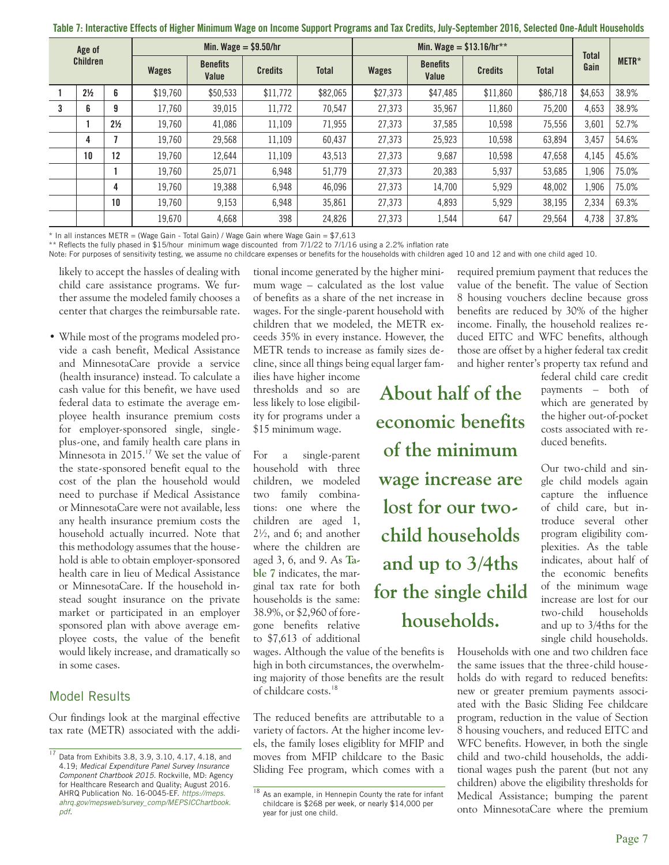| Age of<br><b>Children</b> |                | Min. Wage $=$ \$9.50/hr |                          |                |              | Min. Wage = $$13.16/hr**$ |                          |                |              | <b>Total</b> |         |       |
|---------------------------|----------------|-------------------------|--------------------------|----------------|--------------|---------------------------|--------------------------|----------------|--------------|--------------|---------|-------|
|                           |                | Wages                   | <b>Benefits</b><br>Value | <b>Credits</b> | <b>Total</b> | <b>Wages</b>              | <b>Benefits</b><br>Value | <b>Credits</b> | <b>Total</b> | Gain         | METR*   |       |
|                           | $2\frac{1}{2}$ | 6                       | \$19,760                 | \$50,533       | \$11,772     | \$82,065                  | \$27,373                 | \$47,485       | \$11,860     | \$86,718     | \$4,653 | 38.9% |
| 3                         | 6              | 9                       | 17.760                   | 39,015         | 11.772       | 70.547                    | 27.373                   | 35,967         | 11,860       | 75,200       | 4.653   | 38.9% |
|                           |                | $2\frac{1}{2}$          | 19.760                   | 41,086         | 11,109       | 71,955                    | 27,373                   | 37,585         | 10,598       | 75,556       | 3,601   | 52.7% |
|                           | 4              | 7                       | 19,760                   | 29.568         | 11,109       | 60,437                    | 27.373                   | 25,923         | 10,598       | 63,894       | 3,457   | 54.6% |
|                           | 10             | 12                      | 19.760                   | 12.644         | 11,109       | 43,513                    | 27,373                   | 9,687          | 10,598       | 47.658       | 4,145   | 45.6% |
|                           |                |                         | 19,760                   | 25,071         | 6,948        | 51,779                    | 27,373                   | 20,383         | 5,937        | 53,685       | 1,906   | 75.0% |
|                           |                | 4                       | 19,760                   | 19,388         | 6,948        | 46,096                    | 27,373                   | 14.700         | 5,929        | 48.002       | 1,906   | 75.0% |
|                           |                | 10                      | 19,760                   | 9,153          | 6,948        | 35,861                    | 27,373                   | 4,893          | 5,929        | 38,195       | 2,334   | 69.3% |
|                           |                |                         | 19,670                   | 4,668          | 398          | 24,826                    | 27,373                   | 1,544          | 647          | 29,564       | 4,738   | 37.8% |

**Table 7: Interactive Effects of Higher Minimum Wage on Income Support Programs and Tax Credits, July-September 2016, Selected One-Adult Households**

 $*$  In all instances METR = (Wage Gain - Total Gain) / Wage Gain where Wage Gain =  $$7,613$ 

\*\* Reflects the fully phased in \$15/hour minimum wage discounted from 7/1/22 to 7/1/16 using a 2.2% inflation rate

Note: For purposes of sensitivity testing, we assume no childcare expenses or benefits for the households with children aged 10 and 12 and with one child aged 10.

likely to accept the hassles of dealing with child care assistance programs. We further assume the modeled family chooses a center that charges the reimbursable rate.

• While most of the programs modeled provide a cash benefit, Medical Assistance and MinnesotaCare provide a service (health insurance) instead. To calculate a cash value for this benefit, we have used federal data to estimate the average employee health insurance premium costs for employer-sponsored single, singleplus-one, and family health care plans in Minnesota in 2015.<sup>17</sup> We set the value of the state-sponsored benefit equal to the cost of the plan the household would need to purchase if Medical Assistance or MinnesotaCare were not available, less any health insurance premium costs the household actually incurred. Note that this methodology assumes that the household is able to obtain employer-sponsored health care in lieu of Medical Assistance or MinnesotaCare. If the household instead sought insurance on the private market or participated in an employer sponsored plan with above average employee costs, the value of the benefit would likely increase, and dramatically so in some cases.

## Model Results

Our findings look at the marginal effective tax rate (METR) associated with the addi-

tional income generated by the higher minimum wage – calculated as the lost value of benefits as a share of the net increase in wages. For the single-parent household with children that we modeled, the METR exceeds 35% in every instance. However, the METR tends to increase as family sizes decline, since all things being equal larger fam-

ilies have higher income thresholds and so are less likely to lose eligibility for programs under a \$15 minimum wage.

For a single-parent household with three children, we modeled two family combinations: one where the children are aged 1, 2½, and 6; and another where the children are aged 3, 6, and 9. As **Table 7** indicates, the marginal tax rate for both households is the same: 38.9%, or \$2,960 of foregone benefits relative to \$7,613 of additional

wages. Although the value of the benefits is high in both circumstances, the overwhelming majority of those benefits are the result of childcare costs.<sup>18</sup>

The reduced benefits are attributable to a variety of factors. At the higher income levels, the family loses eligiblity for MFIP and moves from MFIP childcare to the Basic Sliding Fee program, which comes with a

required premium payment that reduces the value of the benefit. The value of Section 8 housing vouchers decline because gross benefits are reduced by 30% of the higher income. Finally, the household realizes reduced EITC and WFC benefits, although those are offset by a higher federal tax credit and higher renter's property tax refund and

**About half of the** 

**economic benefits of the minimum wage increase are lost for our twochild households and up to 3/4ths for the single child households.**

federal child care credit payments – both of which are generated by the higher out-of-pocket costs associated with reduced benefits.

Our two-child and single child models again capture the influence of child care, but introduce several other program eligibility complexities. As the table indicates, about half of the economic benefits of the minimum wage increase are lost for our two-child households and up to 3/4ths for the single child households.

Households with one and two children face the same issues that the three-child households do with regard to reduced benefits: new or greater premium payments associated with the Basic Sliding Fee childcare program, reduction in the value of Section 8 housing vouchers, and reduced EITC and WFC benefits. However, in both the single child and two-child households, the additional wages push the parent (but not any children) above the eligibility thresholds for Medical Assistance; bumping the parent onto MinnesotaCare where the premium

<sup>&</sup>lt;sup>17</sup> Data from Exhibits 3.8, 3.9, 3.10, 4.17, 4.18, and 4.19; *Medical Expenditure Panel Survey Insurance Component Chartbook 2015*. Rockville, MD: Agency for Healthcare Research and Quality; August 2016. AHRQ Publication No. 16-0045-EF. *https://meps. ahrq.gov/mepsweb/survey\_comp/MEPSICChartbook. pdf*.

<sup>&</sup>lt;sup>18</sup> As an example, in Hennepin County the rate for infant childcare is \$268 per week, or nearly \$14,000 per year for just one child.